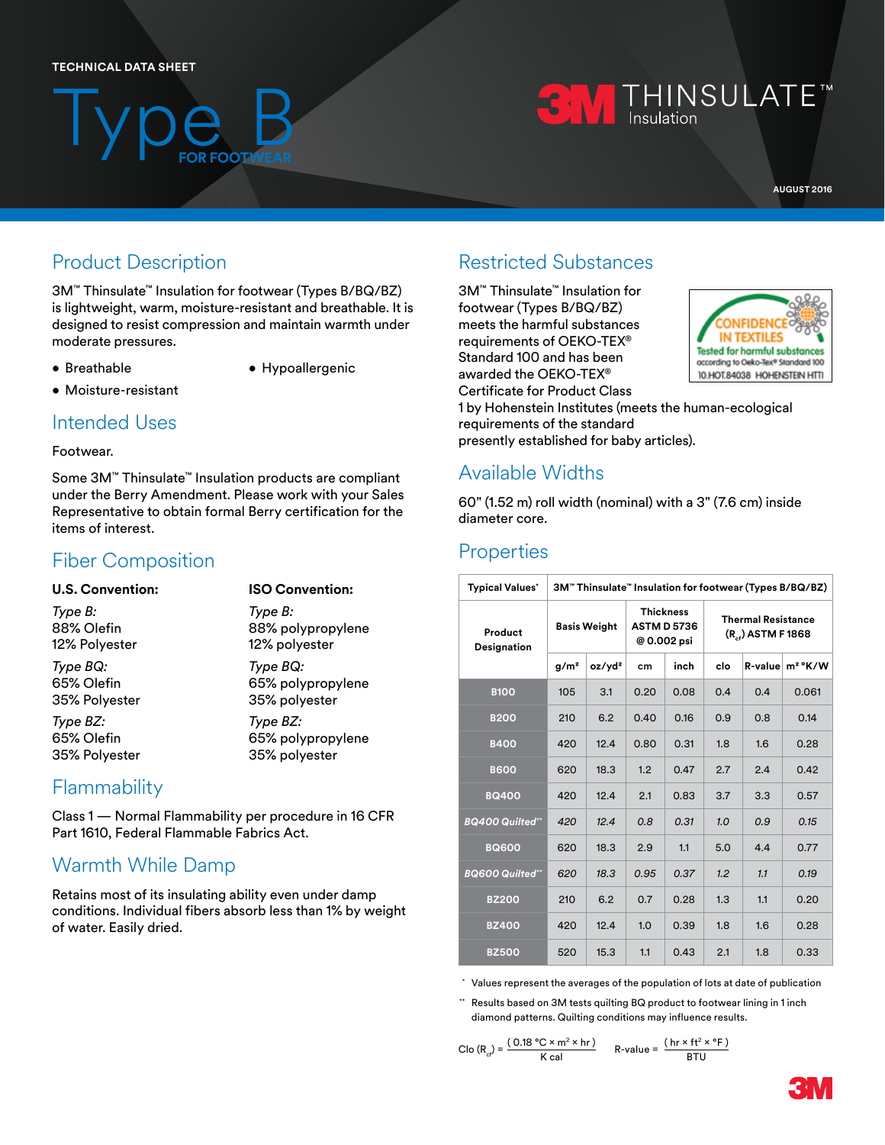## **TECHNICAL DATA SHEET**

Type B

# **THINSULATE**<sup>M</sup><br>
Insulation

**AUGUST 2016**

# Product Description

3M™ Thinsulate™ Insulation for footwear (Types B/BQ/BZ) is lightweight, warm, moisture-resistant and breathable. It is designed to resist compression and maintain warmth under moderate pressures.

**FOR FOOTWEAR**

- Breathable
- Hypoallergenic
- Moisture-resistant

## Intended Uses

## Footwear.

Some 3M™ Thinsulate™ Insulation products are compliant under the Berry Amendment. Please work with your Sales Representative to obtain formal Berry certification for the items of interest.

# Fiber Composition

| <b>U.S. Convention:</b> | <b>ISO Convention:</b> |  |  |  |  |
|-------------------------|------------------------|--|--|--|--|
| Type B:                 | Type B:                |  |  |  |  |
| 88% Olefin              | 88% polypropylene      |  |  |  |  |
| 12% Polyester           | 12% polyester          |  |  |  |  |
| Type BQ:                | Type BQ:               |  |  |  |  |
| 65% Olefin              | 65% polypropylene      |  |  |  |  |
| 35% Polyester           | 35% polyester          |  |  |  |  |
| Type BZ:                | Type BZ:               |  |  |  |  |
| 65% Olefin              | 65% polypropylene      |  |  |  |  |
| 35% Polyester           | 35% polyester          |  |  |  |  |

## **Flammability**

Class 1 — Normal Flammability per procedure in 16 CFR Part 1610, Federal Flammable Fabrics Act.

# Warmth While Damp

Retains most of its insulating ability even under damp conditions. Individual fibers absorb less than 1% by weight of water. Easily dried.

# Restricted Substances

3M™ Thinsulate™ Insulation for footwear (Types B/BQ/BZ) meets the harmful substances requirements of OEKO-TEX® Standard 100 and has been awarded the OEKO-TEX® Certificate for Product Class



1 by Hohenstein Institutes (meets the human-ecological requirements of the standard presently established for baby articles).

# Available Widths

60" (1.52 m) roll width (nominal) with a 3" (7.6 cm) inside diameter core.

# **Properties**

| <b>Typical Values'</b> | 3M™ Thinsulate™ Insulation for footwear (Types B/BQ/BZ) |                    |                                                       |      |                                                    |     |                       |  |
|------------------------|---------------------------------------------------------|--------------------|-------------------------------------------------------|------|----------------------------------------------------|-----|-----------------------|--|
| Product<br>Designation | <b>Basis Weight</b>                                     |                    | <b>Thickness</b><br><b>ASTM D 5736</b><br>@ 0.002 psi |      | <b>Thermal Resistance</b><br>$(R_{1})$ ASTM F 1868 |     |                       |  |
|                        | g/m <sup>2</sup>                                        | oz/yd <sup>2</sup> | cm                                                    | inch | clo                                                |     | $R$ -value $m^2$ °K/W |  |
| <b>B100</b>            | 105                                                     | 3.1                | 0.20                                                  | 0.08 | 0.4                                                | 0.4 | 0.061                 |  |
| <b>B200</b>            | 210                                                     | 6.2                | 0.40                                                  | 0.16 | 0.9                                                | 0.8 | 0.14                  |  |
| <b>B400</b>            | 420                                                     | 12.4               | 0.80                                                  | 0.31 | 1.8                                                | 1.6 | 0.28                  |  |
| <b>B600</b>            | 620                                                     | 18.3               | 1.2                                                   | 0.47 | 2.7                                                | 2.4 | 0.42                  |  |
| <b>BQ400</b>           | 420                                                     | 12.4               | 2.1                                                   | 0.83 | 3.7                                                | 3.3 | 0.57                  |  |
| <b>BQ400 Quilted"</b>  | 420                                                     | 12.4               | 0.8                                                   | 0.31 | 1.0                                                | 0.9 | 0.15                  |  |
| <b>BQ600</b>           | 620                                                     | 18.3               | 2.9                                                   | 1.1  | 5.0                                                | 4.4 | 0.77                  |  |
| <b>BQ600 Quilted"</b>  | 620                                                     | 18.3               | 0.95                                                  | 0.37 | 1.2                                                | 1.1 | 0.19                  |  |
| <b>BZ200</b>           | 210                                                     | 6.2                | 0.7                                                   | 0.28 | 1.3                                                | 1.1 | 0.20                  |  |
| <b>BZ400</b>           | 420                                                     | 12.4               | 1.0                                                   | 0.39 | 1.8                                                | 1.6 | 0.28                  |  |
| <b>BZ500</b>           | 520                                                     | 15.3               | 1.1                                                   | 0.43 | 2.1                                                | 1.8 | 0.33                  |  |

\* Values represent the averages of the population of lots at date of publication

\*\* Results based on 3M tests quilting BQ product to footwear lining in 1 inch diamond patterns. Quilting conditions may influence results.

$$
C \log (R_{\text{cf}}) = \frac{(0.18 \text{ °C} \times \text{m}^2 \times \text{hr})}{K \text{ cal}} \qquad R \text{-value} = \frac{(\text{hr} \times \text{ft}^2 \times \text{ °F})}{\text{BTU}}
$$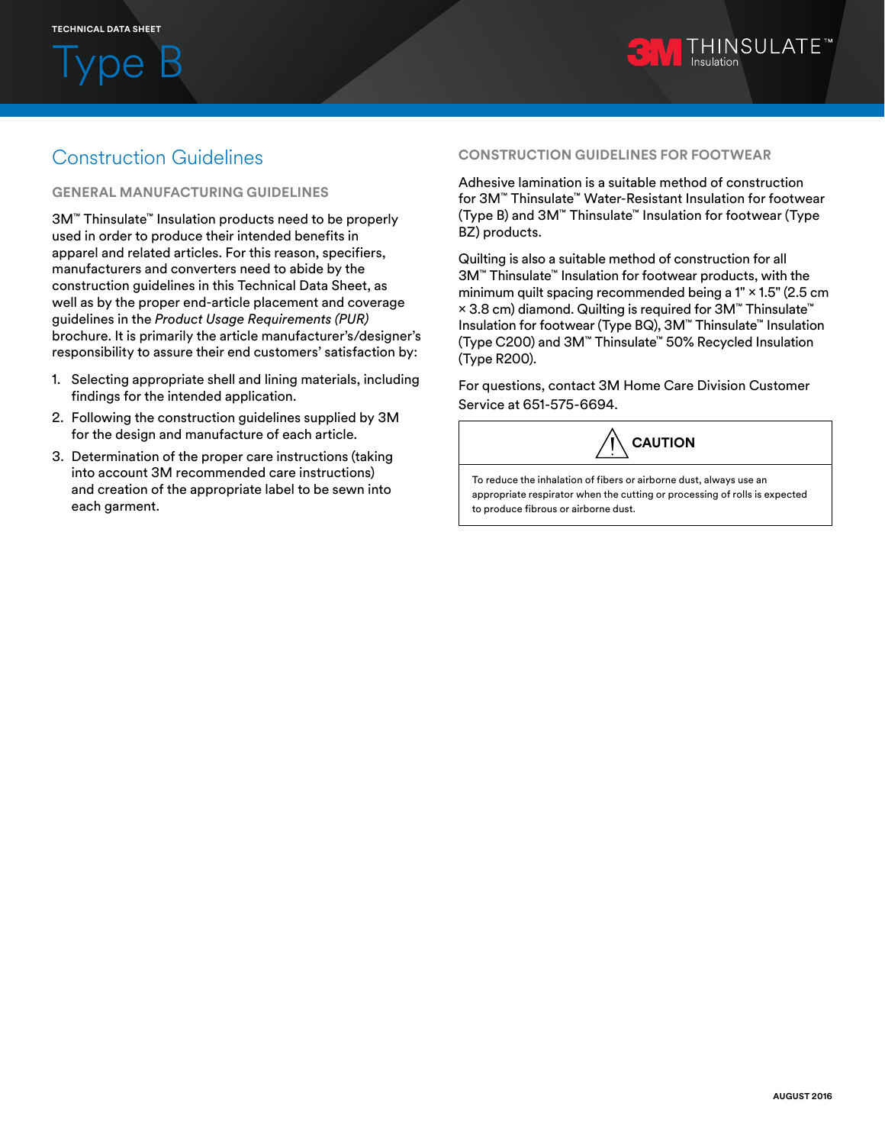**VDe** 



# Construction Guidelines

### **GENERAL MANUFACTURING GUIDELINES**

3M™ Thinsulate™ Insulation products need to be properly used in order to produce their intended benefits in apparel and related articles. For this reason, specifiers, manufacturers and converters need to abide by the construction guidelines in this Technical Data Sheet, as well as by the proper end-article placement and coverage guidelines in the *Product Usage Requirements (PUR)* brochure. It is primarily the article manufacturer's/designer's responsibility to assure their end customers' satisfaction by:

- 1. Selecting appropriate shell and lining materials, including findings for the intended application.
- 2. Following the construction guidelines supplied by 3M for the design and manufacture of each article.
- 3. Determination of the proper care instructions (taking into account 3M recommended care instructions) and creation of the appropriate label to be sewn into each garment.

#### **CONSTRUCTION GUIDELINES FOR FOOTWEAR**

Adhesive lamination is a suitable method of construction for 3M™ Thinsulate™ Water-Resistant Insulation for footwear (Type B) and 3M™ Thinsulate™ Insulation for footwear (Type BZ) products.

Quilting is also a suitable method of construction for all 3M™ Thinsulate™ Insulation for footwear products, with the minimum quilt spacing recommended being a 1" × 1.5" (2.5 cm × 3.8 cm) diamond. Quilting is required for 3M™ Thinsulate™ Insulation for footwear (Type BQ), 3M™ Thinsulate™ Insulation (Type C200) and 3M™ Thinsulate™ 50% Recycled Insulation (Type R200).

For questions, contact 3M Home Care Division Customer Service at 651-575-6694.



To reduce the inhalation of fibers or airborne dust, always use an appropriate respirator when the cutting or processing of rolls is expected to produce fibrous or airborne dust.